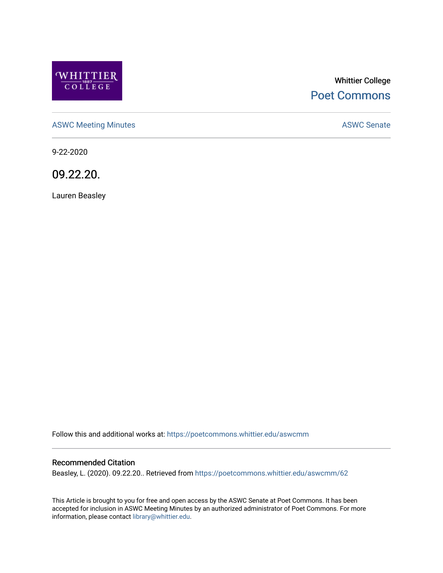

# Whittier College [Poet Commons](https://poetcommons.whittier.edu/)

[ASWC Meeting Minutes](https://poetcommons.whittier.edu/aswcmm) **ASWC Senate** 

9-22-2020

09.22.20.

Lauren Beasley

Follow this and additional works at: [https://poetcommons.whittier.edu/aswcmm](https://poetcommons.whittier.edu/aswcmm?utm_source=poetcommons.whittier.edu%2Faswcmm%2F62&utm_medium=PDF&utm_campaign=PDFCoverPages)

#### Recommended Citation

Beasley, L. (2020). 09.22.20.. Retrieved from [https://poetcommons.whittier.edu/aswcmm/62](https://poetcommons.whittier.edu/aswcmm/62?utm_source=poetcommons.whittier.edu%2Faswcmm%2F62&utm_medium=PDF&utm_campaign=PDFCoverPages)

This Article is brought to you for free and open access by the ASWC Senate at Poet Commons. It has been accepted for inclusion in ASWC Meeting Minutes by an authorized administrator of Poet Commons. For more information, please contact [library@whittier.edu.](mailto:library@whittier.edu)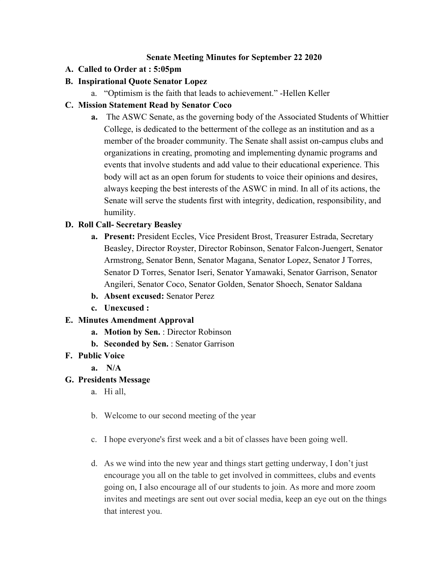#### **Senate Meeting Minutes for September 22 2020**

### **A. Called to Order at : 5:05pm**

# **B. Inspirational Quote Senator Lopez**

a. "Optimism is the faith that leads to achievement." -Hellen Keller

# **C. Mission Statement Read by Senator Coco**

**a.** The ASWC Senate, as the governing body of the Associated Students of Whittier College, is dedicated to the betterment of the college as an institution and as a member of the broader community. The Senate shall assist on-campus clubs and organizations in creating, promoting and implementing dynamic programs and events that involve students and add value to their educational experience. This body will act as an open forum for students to voice their opinions and desires, always keeping the best interests of the ASWC in mind. In all of its actions, the Senate will serve the students first with integrity, dedication, responsibility, and humility.

### **D. Roll Call- Secretary Beasley**

- **a. Present:** President Eccles, Vice President Brost, Treasurer Estrada, Secretary Beasley, Director Royster, Director Robinson, Senator Falcon-Juengert, Senator Armstrong, Senator Benn, Senator Magana, Senator Lopez, Senator J Torres, Senator D Torres, Senator Iseri, Senator Yamawaki, Senator Garrison, Senator Angileri, Senator Coco, Senator Golden, Senator Shoech, Senator Saldana
- **b. Absent excused:** Senator Perez
- **c. Unexcused :**

# **E. Minutes Amendment Approval**

- **a. Motion by Sen.** : Director Robinson
- **b. Seconded by Sen.** : Senator Garrison
- **F. Public Voice**

**a. N/A**

### **G. Presidents Message**

- a. Hi all,
- b. Welcome to our second meeting of the year
- c. I hope everyone's first week and a bit of classes have been going well.
- d. As we wind into the new year and things start getting underway, I don't just encourage you all on the table to get involved in committees, clubs and events going on, I also encourage all of our students to join. As more and more zoom invites and meetings are sent out over social media, keep an eye out on the things that interest you.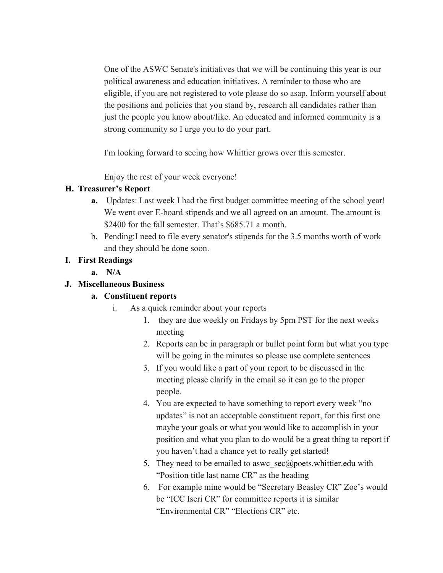One of the ASWC Senate's initiatives that we will be continuing this year is our political awareness and education initiatives. A reminder to those who are eligible, if you are not registered to vote please do so asap. Inform yourself about the positions and policies that you stand by, research all candidates rather than just the people you know about/like. An educated and informed community is a strong community so I urge you to do your part.

I'm looking forward to seeing how Whittier grows over this semester.

Enjoy the rest of your week everyone!

### **H. Treasurer's Report**

- **a.** Updates: Last week I had the first budget committee meeting of the school year! We went over E-board stipends and we all agreed on an amount. The amount is \$2400 for the fall semester. That's \$685.71 a month.
- b. Pending:I need to file every senator's stipends for the 3.5 months worth of work and they should be done soon.

### **I. First Readings**

**a. N/A**

### **J. Miscellaneous Business**

### **a. Constituent reports**

- i. As a quick reminder about your reports
	- 1. they are due weekly on Fridays by 5pm PST for the next weeks meeting
	- 2. Reports can be in paragraph or bullet point form but what you type will be going in the minutes so please use complete sentences
	- 3. If you would like a part of your report to be discussed in the meeting please clarify in the email so it can go to the proper people.
	- 4. You are expected to have something to report every week "no updates" is not an acceptable constituent report, for this first one maybe your goals or what you would like to accomplish in your position and what you plan to do would be a great thing to report if you haven't had a chance yet to really get started!
	- 5. They need to be emailed to aswc\_sec@poets.whittier.edu with "Position title last name CR" as the heading
	- 6. For example mine would be "Secretary Beasley CR" Zoe's would be "ICC Iseri CR" for committee reports it is similar "Environmental CR" "Elections CR" etc.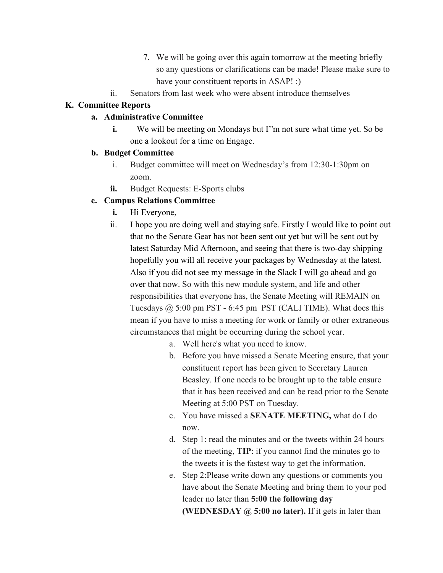- 7. We will be going over this again tomorrow at the meeting briefly so any questions or clarifications can be made! Please make sure to have your constituent reports in ASAP! :)
- ii. Senators from last week who were absent introduce themselves

### **K. Committee Reports**

### **a. Administrative Committee**

**i.** We will be meeting on Mondays but I'm not sure what time yet. So be one a lookout for a time on Engage.

### **b. Budget Committee**

- i. Budget committee will meet on Wednesday's from 12:30-1:30pm on zoom.
- **ii.** Budget Requests: E-Sports clubs

### **c. Campus Relations Committee**

- **i.** Hi Everyone,
- ii. I hope you are doing well and staying safe. Firstly I would like to point out that no the Senate Gear has not been sent out yet but will be sent out by latest Saturday Mid Afternoon, and seeing that there is two-day shipping hopefully you will all receive your packages by Wednesday at the latest. Also if you did not see my message in the Slack I will go ahead and go over that now. So with this new module system, and life and other responsibilities that everyone has, the Senate Meeting will REMAIN on Tuesdays  $\omega$  5:00 pm PST - 6:45 pm PST (CALI TIME). What does this mean if you have to miss a meeting for work or family or other extraneous circumstances that might be occurring during the school year.
	- a. Well here's what you need to know.
	- b. Before you have missed a Senate Meeting ensure, that your constituent report has been given to Secretary Lauren Beasley. If one needs to be brought up to the table ensure that it has been received and can be read prior to the Senate Meeting at 5:00 PST on Tuesday.
	- c. You have missed a **SENATE MEETING,** what do I do now.
	- d. Step 1: read the minutes and or the tweets within 24 hours of the meeting, **TIP**: if you cannot find the minutes go to the tweets it is the fastest way to get the information.
	- e. Step 2:Please write down any questions or comments you have about the Senate Meeting and bring them to your pod leader no later than **5:00 the following day (WEDNESDAY @ 5:00 no later).** If it gets in later than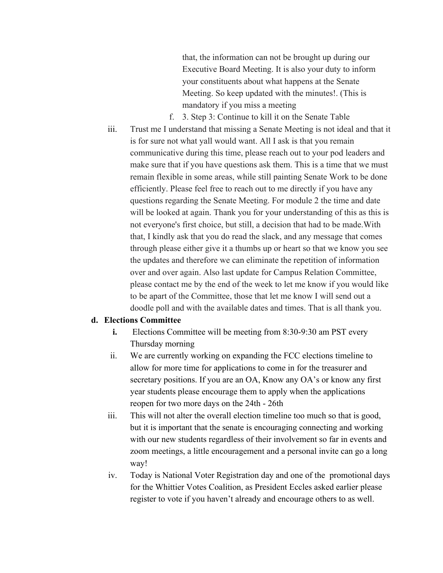that, the information can not be brought up during our Executive Board Meeting. It is also your duty to inform your constituents about what happens at the Senate Meeting. So keep updated with the minutes!. (This is mandatory if you miss a meeting

f. 3. Step 3: Continue to kill it on the Senate Table iii. Trust me I understand that missing a Senate Meeting is not ideal and that it is for sure not what yall would want. All I ask is that you remain communicative during this time, please reach out to your pod leaders and make sure that if you have questions ask them. This is a time that we must remain flexible in some areas, while still painting Senate Work to be done efficiently. Please feel free to reach out to me directly if you have any questions regarding the Senate Meeting. For module 2 the time and date will be looked at again. Thank you for your understanding of this as this is not everyone's first choice, but still, a decision that had to be made.With that, I kindly ask that you do read the slack, and any message that comes through please either give it a thumbs up or heart so that we know you see the updates and therefore we can eliminate the repetition of information over and over again. Also last update for Campus Relation Committee, please contact me by the end of the week to let me know if you would like to be apart of the Committee, those that let me know I will send out a doodle poll and with the available dates and times. That is all thank you.

#### **d. Elections Committee**

- **i.** Elections Committee will be meeting from 8:30-9:30 am PST every Thursday morning
- ii. We are currently working on expanding the FCC elections timeline to allow for more time for applications to come in for the treasurer and secretary positions. If you are an OA, Know any OA's or know any first year students please encourage them to apply when the applications reopen for two more days on the 24th - 26th
- iii. This will not alter the overall election timeline too much so that is good, but it is important that the senate is encouraging connecting and working with our new students regardless of their involvement so far in events and zoom meetings, a little encouragement and a personal invite can go a long way!
- iv. Today is National Voter Registration day and one of the promotional days for the Whittier Votes Coalition, as President Eccles asked earlier please register to vote if you haven't already and encourage others to as well.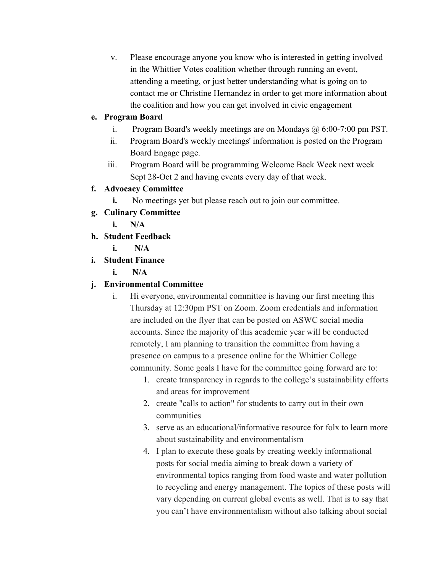v. Please encourage anyone you know who is interested in getting involved in the Whittier Votes coalition whether through running an event, attending a meeting, or just better understanding what is going on to contact me or Christine Hernandez in order to get more information about the coalition and how you can get involved in civic engagement

# **e. Program Board**

- i. Program Board's weekly meetings are on Mondays @ 6:00-7:00 pm PST.
- ii. Program Board's weekly meetings' information is posted on the Program Board Engage page.
- iii. Program Board will be programming Welcome Back Week next week Sept 28-Oct 2 and having events every day of that week.

# **f. Advocacy Committee**

- **i.** No meetings yet but please reach out to join our committee.
- **g. Culinary Committee**
	- **i. N/A**
- **h. Student Feedback**
	- **i. N/A**
- **i. Student Finance**
	- **i. N/A**

# **j. Environmental Committee**

- i. Hi everyone, environmental committee is having our first meeting this Thursday at 12:30pm PST on Zoom. Zoom credentials and information are included on the flyer that can be posted on ASWC social media accounts. Since the majority of this academic year will be conducted remotely, I am planning to transition the committee from having a presence on campus to a presence online for the Whittier College community. Some goals I have for the committee going forward are to:
	- 1. create transparency in regards to the college's sustainability efforts and areas for improvement
	- 2. create "calls to action" for students to carry out in their own communities
	- 3. serve as an educational/informative resource for folx to learn more about sustainability and environmentalism
	- 4. I plan to execute these goals by creating weekly informational posts for social media aiming to break down a variety of environmental topics ranging from food waste and water pollution to recycling and energy management. The topics of these posts will vary depending on current global events as well. That is to say that you can't have environmentalism without also talking about social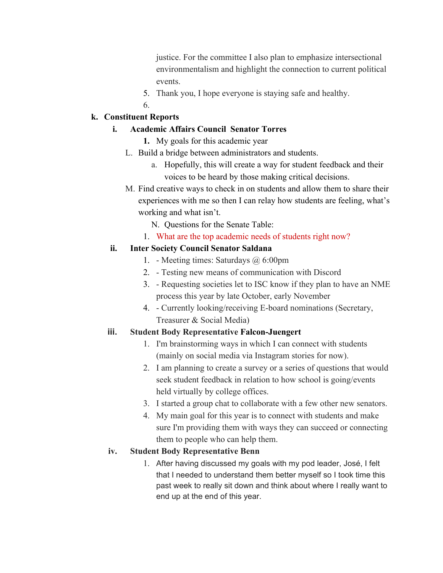justice. For the committee I also plan to emphasize intersectional environmentalism and highlight the connection to current political events.

- 5. Thank you, I hope everyone is staying safe and healthy.
- 6.

### **k. Constituent Reports**

### **i. Academic Affairs Council Senator Torres**

- **1.** My goals for this academic year
- L. Build a bridge between administrators and students.
	- a. Hopefully, this will create a way for student feedback and their voices to be heard by those making critical decisions.
- M. Find creative ways to check in on students and allow them to share their experiences with me so then I can relay how students are feeling, what's working and what isn't.
	- N. Questions for the Senate Table:
	- 1. What are the top academic needs of students right now?

### **ii. Inter Society Council Senator Saldana**

- 1. Meeting times: Saturdays @ 6:00pm
- 2. Testing new means of communication with Discord
- 3. Requesting societies let to ISC know if they plan to have an NME process this year by late October, early November
- 4. Currently looking/receiving E-board nominations (Secretary, Treasurer & Social Media)

# **iii. Student Body Representative Falcon-Juengert**

- 1. I'm brainstorming ways in which I can connect with students (mainly on social media via Instagram stories for now).
- 2. I am planning to create a survey or a series of questions that would seek student feedback in relation to how school is going/events held virtually by college offices.
- 3. I started a group chat to collaborate with a few other new senators.
- 4. My main goal for this year is to connect with students and make sure I'm providing them with ways they can succeed or connecting them to people who can help them.

# **iv. Student Body Representative Benn**

1. After having discussed my goals with my pod leader, José, I felt that I needed to understand them better myself so I took time this past week to really sit down and think about where I really want to end up at the end of this year.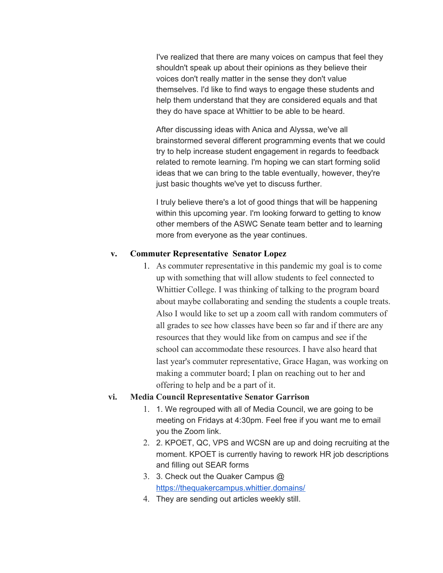I've realized that there are many voices on campus that feel they shouldn't speak up about their opinions as they believe their voices don't really matter in the sense they don't value themselves. I'd like to find ways to engage these students and help them understand that they are considered equals and that they do have space at Whittier to be able to be heard.

After discussing ideas with Anica and Alyssa, we've all brainstormed several different programming events that we could try to help increase student engagement in regards to feedback related to remote learning. I'm hoping we can start forming solid ideas that we can bring to the table eventually, however, they're just basic thoughts we've yet to discuss further.

I truly believe there's a lot of good things that will be happening within this upcoming year. I'm looking forward to getting to know other members of the ASWC Senate team better and to learning more from everyone as the year continues.

#### **v. Commuter Representative Senator Lopez**

1. As commuter representative in this pandemic my goal is to come up with something that will allow students to feel connected to Whittier College. I was thinking of talking to the program board about maybe collaborating and sending the students a couple treats. Also I would like to set up a zoom call with random commuters of all grades to see how classes have been so far and if there are any resources that they would like from on campus and see if the school can accommodate these resources. I have also heard that last year's commuter representative, Grace Hagan, was working on making a commuter board; I plan on reaching out to her and offering to help and be a part of it.

#### **vi. Media Council Representative Senator Garrison**

- 1. 1. We regrouped with all of Media Council, we are going to be meeting on Fridays at 4:30pm. Feel free if you want me to email you the Zoom link.
- 2. 2. KPOET, QC, VPS and WCSN are up and doing recruiting at the moment. KPOET is currently having to rework HR job descriptions and filling out SEAR forms
- 3. 3. Check out the Quaker Campus @ <https://thequakercampus.whittier.domains/>
- 4. They are sending out articles weekly still.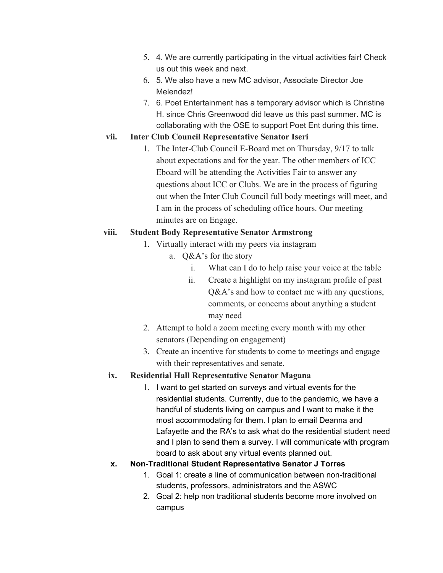- 5. 4. We are currently participating in the virtual activities fair! Check us out this week and next.
- 6. 5. We also have a new MC advisor, Associate Director Joe Melendez!
- 7. 6. Poet Entertainment has a temporary advisor which is Christine H. since Chris Greenwood did leave us this past summer. MC is collaborating with the OSE to support Poet Ent during this time.

### **vii. Inter Club Council Representative Senator Iseri**

1. The Inter-Club Council E-Board met on Thursday, 9/17 to talk about expectations and for the year. The other members of ICC Eboard will be attending the Activities Fair to answer any questions about ICC or Clubs. We are in the process of figuring out when the Inter Club Council full body meetings will meet, and I am in the process of scheduling office hours. Our meeting minutes are on Engage.

### **viii. Student Body Representative Senator Armstrong**

- 1. Virtually interact with my peers via instagram
	- a. Q&A's for the story
		- i. What can I do to help raise your voice at the table
		- ii. Create a highlight on my instagram profile of past Q&A's and how to contact me with any questions, comments, or concerns about anything a student may need
- 2. Attempt to hold a zoom meeting every month with my other senators (Depending on engagement)
- 3. Create an incentive for students to come to meetings and engage with their representatives and senate.

### **ix. Residential Hall Representative Senator Magana**

1. I want to get started on surveys and virtual events for the residential students. Currently, due to the pandemic, we have a handful of students living on campus and I want to make it the most accommodating for them. I plan to email Deanna and Lafayette and the RA's to ask what do the residential student need and I plan to send them a survey. I will communicate with program board to ask about any virtual events planned out.

### **x. Non-Traditional Student Representative Senator J Torres**

- 1. Goal 1: create a line of communication between non-traditional students, professors, administrators and the ASWC
- 2. Goal 2: help non traditional students become more involved on campus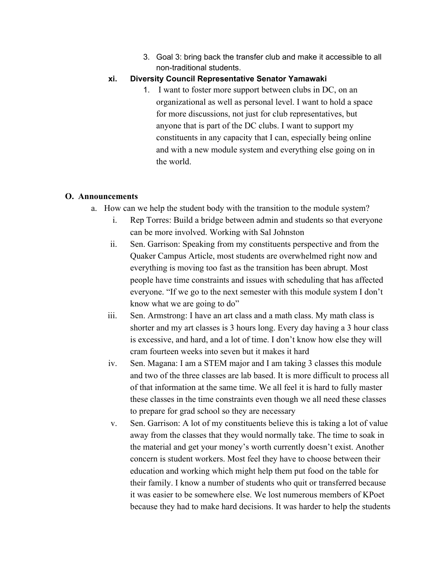3. Goal 3: bring back the transfer club and make it accessible to all non-traditional students.

### **xi. Diversity Council Representative Senator Yamawaki**

1. I want to foster more support between clubs in DC, on an organizational as well as personal level. I want to hold a space for more discussions, not just for club representatives, but anyone that is part of the DC clubs. I want to support my constituents in any capacity that I can, especially being online and with a new module system and everything else going on in the world.

### **O. Announcements**

- a. How can we help the student body with the transition to the module system?
	- i. Rep Torres: Build a bridge between admin and students so that everyone can be more involved. Working with Sal Johnston
	- ii. Sen. Garrison: Speaking from my constituents perspective and from the Quaker Campus Article, most students are overwhelmed right now and everything is moving too fast as the transition has been abrupt. Most people have time constraints and issues with scheduling that has affected everyone. "If we go to the next semester with this module system I don't know what we are going to do"
	- iii. Sen. Armstrong: I have an art class and a math class. My math class is shorter and my art classes is 3 hours long. Every day having a 3 hour class is excessive, and hard, and a lot of time. I don't know how else they will cram fourteen weeks into seven but it makes it hard
	- iv. Sen. Magana: I am a STEM major and I am taking 3 classes this module and two of the three classes are lab based. It is more difficult to process all of that information at the same time. We all feel it is hard to fully master these classes in the time constraints even though we all need these classes to prepare for grad school so they are necessary
	- v. Sen. Garrison: A lot of my constituents believe this is taking a lot of value away from the classes that they would normally take. The time to soak in the material and get your money's worth currently doesn't exist. Another concern is student workers. Most feel they have to choose between their education and working which might help them put food on the table for their family. I know a number of students who quit or transferred because it was easier to be somewhere else. We lost numerous members of KPoet because they had to make hard decisions. It was harder to help the students